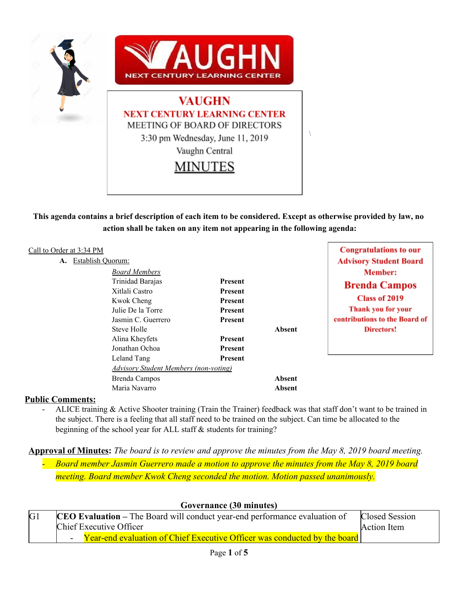

This agenda contains a brief description of each item to be considered. Except as otherwise provided by law, no **action shall be taken on any item not appearing in the following agenda:**

| Call to Order at 3:34 PM<br>Establish Quorum:<br>A. |                                              |                |               | <b>Congratulations to our</b> |
|-----------------------------------------------------|----------------------------------------------|----------------|---------------|-------------------------------|
|                                                     |                                              |                |               | <b>Advisory Student Board</b> |
|                                                     | <b>Board Members</b>                         |                |               | Member:                       |
|                                                     | Trinidad Barajas                             | <b>Present</b> |               | <b>Brenda Campos</b>          |
|                                                     | Xitlali Castro                               | Present        |               |                               |
|                                                     | Kwok Cheng                                   | <b>Present</b> |               | Class of 2019                 |
|                                                     | Julie De la Torre                            | <b>Present</b> |               | Thank you for your            |
|                                                     | Jasmin C. Guerrero                           | <b>Present</b> |               | contributions to the Board of |
|                                                     | Steve Holle                                  |                | <b>Absent</b> | Directors!                    |
|                                                     | Alina Kheyfets                               | <b>Present</b> |               |                               |
|                                                     | Jonathan Ochoa                               | <b>Present</b> |               |                               |
|                                                     | Leland Tang                                  | <b>Present</b> |               |                               |
|                                                     | <b>Advisory Student Members (non-voting)</b> |                |               |                               |
|                                                     | Brenda Campos                                |                | <b>Absent</b> |                               |

#### **Public Comments:**

ALICE training & Active Shooter training (Train the Trainer) feedback was that staff don't want to be trained in the subject. There is a feeling that all staff need to be trained on the subject. Can time be allocated to the beginning of the school year for ALL staff & students for training?

### **Approval of Minutes:** *The board is to review and approve the minutes from the May 8, 2019 board meeting.*

Maria Navarro **Absent**

*- Board member Jasmin Guerrero made a motion to approve the minutes from the May 8, 2019 board meeting. Board member Kwok Cheng seconded the motion. Motion passed unanimously.*

| Governance (30 minutes) |                                                                                   |                |  |
|-------------------------|-----------------------------------------------------------------------------------|----------------|--|
| G <sub>1</sub>          | <b>CEO Evaluation</b> – The Board will conduct year-end performance evaluation of | Closed Session |  |
|                         | Chief Executive Officer<br>Action Item                                            |                |  |
|                         | <b>Year-end evaluation of Chief Executive Officer was conducted by the board</b>  |                |  |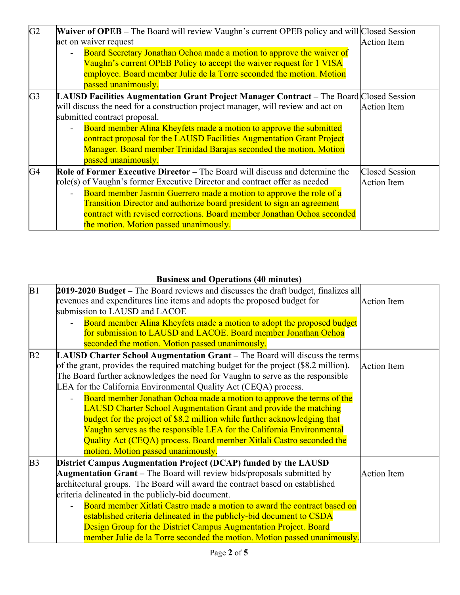| G2             | <b>Waiver of OPEB</b> – The Board will review Vaughn's current OPEB policy and will Closed Session<br>act on waiver request                                                                                                                                                                                                                                                                                                                    | <b>Action Item</b>                          |
|----------------|------------------------------------------------------------------------------------------------------------------------------------------------------------------------------------------------------------------------------------------------------------------------------------------------------------------------------------------------------------------------------------------------------------------------------------------------|---------------------------------------------|
|                | Board Secretary Jonathan Ochoa made a motion to approve the waiver of<br>Vaughn's current OPEB Policy to accept the waiver request for 1 VISA<br>employee. Board member Julie de la Torre seconded the motion. Motion                                                                                                                                                                                                                          |                                             |
|                | passed unanimously.                                                                                                                                                                                                                                                                                                                                                                                                                            |                                             |
| G <sub>3</sub> | LAUSD Facilities Augmentation Grant Project Manager Contract - The Board Closed Session<br>will discuss the need for a construction project manager, will review and act on<br>submitted contract proposal.                                                                                                                                                                                                                                    | <b>Action Item</b>                          |
|                | Board member Alina Kheyfets made a motion to approve the submitted<br>contract proposal for the LAUSD Facilities Augmentation Grant Project<br>Manager. Board member Trinidad Barajas seconded the motion. Motion<br>passed unanimously.                                                                                                                                                                                                       |                                             |
| G <sub>4</sub> | <b>Role of Former Executive Director</b> – The Board will discuss and determine the<br>role(s) of Vaughn's former Executive Director and contract offer as needed<br>Board member Jasmin Guerrero made a motion to approve the role of a<br><b>Transition Director and authorize board president to sign an agreement</b><br>contract with revised corrections. Board member Jonathan Ochoa seconded<br>the motion. Motion passed unanimously. | <b>Closed Session</b><br><b>Action Item</b> |

# **Business and Operations (40 minutes)**

| B1             | 2019-2020 Budget – The Board reviews and discusses the draft budget, finalizes all   |                    |
|----------------|--------------------------------------------------------------------------------------|--------------------|
|                | revenues and expenditures line items and adopts the proposed budget for              | <b>Action Item</b> |
|                | submission to LAUSD and LACOE                                                        |                    |
|                | Board member Alina Kheyfets made a motion to adopt the proposed budget               |                    |
|                | for submission to LAUSD and LACOE. Board member Jonathan Ochoa                       |                    |
|                | seconded the motion. Motion passed unanimously.                                      |                    |
| B2             | LAUSD Charter School Augmentation Grant – The Board will discuss the terms           |                    |
|                | of the grant, provides the required matching budget for the project (\$8.2 million). | <b>Action Item</b> |
|                | The Board further acknowledges the need for Vaughn to serve as the responsible       |                    |
|                | LEA for the California Environmental Quality Act (CEQA) process.                     |                    |
|                | Board member Jonathan Ochoa made a motion to approve the terms of the                |                    |
|                | <b>LAUSD Charter School Augmentation Grant and provide the matching</b>              |                    |
|                | budget for the project of \$8.2 million while further acknowledging that             |                    |
|                | Vaughn serves as the responsible LEA for the California Environmental                |                    |
|                | Quality Act (CEQA) process. Board member Xitlali Castro seconded the                 |                    |
|                | motion. Motion passed unanimously.                                                   |                    |
| B <sub>3</sub> | District Campus Augmentation Project (DCAP) funded by the LAUSD                      |                    |
|                | <b>Augmentation Grant</b> – The Board will review bids/proposals submitted by        | <b>Action Item</b> |
|                | architectural groups. The Board will award the contract based on established         |                    |
|                | criteria delineated in the publicly-bid document.                                    |                    |
|                | Board member Xitlati Castro made a motion to award the contract based on             |                    |
|                | established criteria delineated in the publicly-bid document to CSDA                 |                    |
|                | Design Group for the District Campus Augmentation Project. Board                     |                    |
|                | member Julie de la Torre seconded the motion. Motion passed unanimously.             |                    |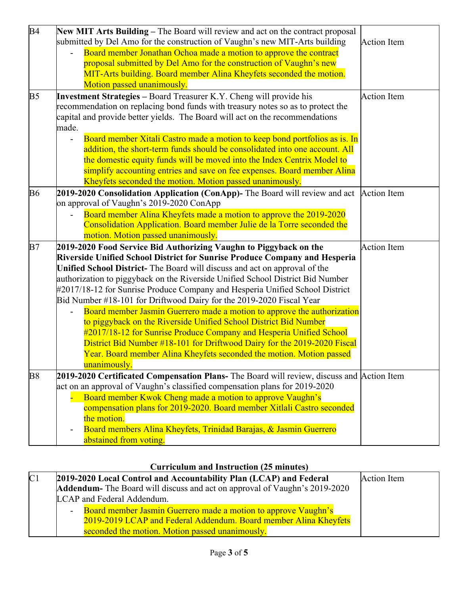| <b>B4</b><br>New MIT Arts Building - The Board will review and act on the contract proposal                  |                    |
|--------------------------------------------------------------------------------------------------------------|--------------------|
| submitted by Del Amo for the construction of Vaughn's new MIT-Arts building                                  | <b>Action Item</b> |
| Board member Jonathan Ochoa made a motion to approve the contract                                            |                    |
| proposal submitted by Del Amo for the construction of Vaughn's new                                           |                    |
| MIT-Arts building. Board member Alina Kheyfets seconded the motion.                                          |                    |
| Motion passed unanimously.                                                                                   |                    |
| B <sub>5</sub><br><b>Investment Strategies – Board Treasurer K.Y. Cheng will provide his</b>                 | <b>Action Item</b> |
| recommendation on replacing bond funds with treasury notes so as to protect the                              |                    |
| capital and provide better yields. The Board will act on the recommendations                                 |                    |
| made.                                                                                                        |                    |
| Board member Xitali Castro made a motion to keep bond portfolios as is. In                                   |                    |
| addition, the short-term funds should be consolidated into one account. All                                  |                    |
| the domestic equity funds will be moved into the Index Centrix Model to                                      |                    |
| simplify accounting entries and save on fee expenses. Board member Alina                                     |                    |
| Kheyfets seconded the motion. Motion passed unanimously.                                                     |                    |
| <b>B6</b><br>2019-2020 Consolidation Application (ConApp)- The Board will review and act $\vert$ Action Item |                    |
| on approval of Vaughn's 2019-2020 ConApp                                                                     |                    |
| Board member Alina Kheyfets made a motion to approve the 2019-2020                                           |                    |
| Consolidation Application. Board member Julie de la Torre seconded the                                       |                    |
| motion. Motion passed unanimously.                                                                           |                    |
| B7<br>2019-2020 Food Service Bid Authorizing Vaughn to Piggyback on the                                      | <b>Action Item</b> |
| Riverside Unified School District for Sunrise Produce Company and Hesperia                                   |                    |
| Unified School District- The Board will discuss and act on approval of the                                   |                    |
| authorization to piggyback on the Riverside Unified School District Bid Number                               |                    |
| #2017/18-12 for Sunrise Produce Company and Hesperia Unified School District                                 |                    |
| Bid Number #18-101 for Driftwood Dairy for the 2019-2020 Fiscal Year                                         |                    |
| Board member Jasmin Guerrero made a motion to approve the authorization                                      |                    |
| to piggyback on the Riverside Unified School District Bid Number                                             |                    |
| #2017/18-12 for Sunrise Produce Company and Hesperia Unified School                                          |                    |
| District Bid Number #18-101 for Driftwood Dairy for the 2019-2020 Fiscal                                     |                    |
| Year. Board member Alina Kheyfets seconded the motion. Motion passed                                         |                    |
| unanimously.                                                                                                 |                    |
| <b>B8</b><br>2019-2020 Certificated Compensation Plans- The Board will review, discuss and Action Item       |                    |
| act on an approval of Vaughn's classified compensation plans for 2019-2020                                   |                    |
| Board member Kwok Cheng made a motion to approve Vaughn's                                                    |                    |
| compensation plans for 2019-2020. Board member Xitlali Castro seconded                                       |                    |
|                                                                                                              |                    |
| the motion.                                                                                                  |                    |
| Board members Alina Kheyfets, Trinidad Barajas, & Jasmin Guerrero                                            |                    |

## **Curriculum and Instruction (25 minutes)**

| C <sub>1</sub> | 2019-2020 Local Control and Accountability Plan (LCAP) and Federal        | Action Item |
|----------------|---------------------------------------------------------------------------|-------------|
|                | Addendum-The Board will discuss and act on approval of Vaughn's 2019-2020 |             |
|                | LCAP and Federal Addendum.                                                |             |
|                | - Board member Jasmin Guerrero made a motion to approve Vaughn's          |             |
|                | 2019-2019 LCAP and Federal Addendum. Board member Alina Kheyfets          |             |
|                | seconded the motion. Motion passed unanimously.                           |             |